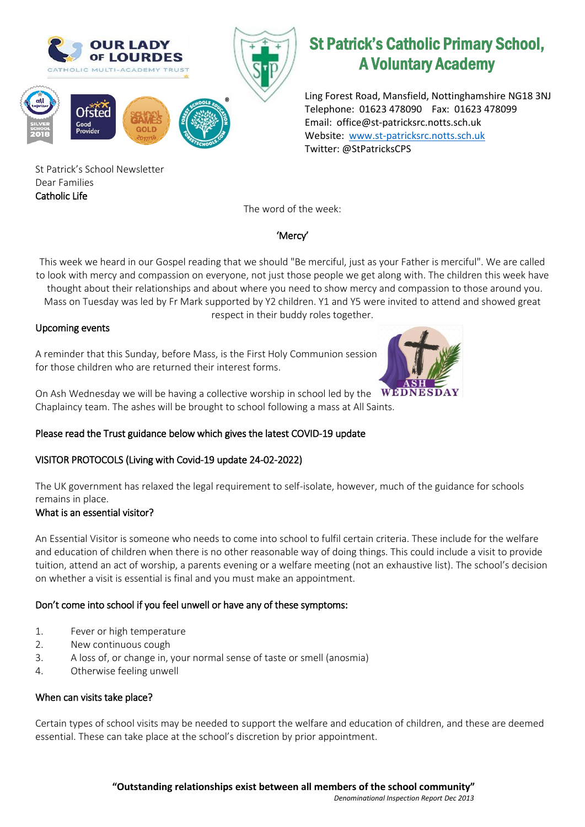

Ling Forest Road, Mansfield, Nottinghamshire NG18 3NJ Telephone: 01623 478090 Fax: 01623 478099 Email: office@st-patricksrc.notts.sch.uk Website: [www.st-patricksrc.notts.sch.uk](http://www.st-patricksrc.notts.sch.uk/) Twitter: @StPatricksCPS

St Patrick's School Newsletter Dear Families Catholic Life

The word of the week:

# 'Mercy'

This week we heard in our Gospel reading that we should "Be merciful, just as your Father is merciful". We are called to look with mercy and compassion on everyone, not just those people we get along with. The children this week have

 thought about their relationships and about where you need to show mercy and compassion to those around you. Mass on Tuesday was led by Fr Mark supported by Y2 children. Y1 and Y5 were invited to attend and showed great

respect in their buddy roles together.

## Upcoming events

A reminder that this Sunday, before Mass, is the First Holy Communion session for those children who are returned their interest forms.



On Ash Wednesday we will be having a collective worship in school led by the  $\mathbf{WEDNESDAY}$ Chaplaincy team. The ashes will be brought to school following a mass at All Saints.

# Please read the Trust guidance below which gives the latest COVID-19 update

# VISITOR PROTOCOLS (Living with Covid-19 update 24-02-2022)

The UK government has relaxed the legal requirement to self-isolate, however, much of the guidance for schools remains in place.

## What is an essential visitor?

An Essential Visitor is someone who needs to come into school to fulfil certain criteria. These include for the welfare and education of children when there is no other reasonable way of doing things. This could include a visit to provide tuition, attend an act of worship, a parents evening or a welfare meeting (not an exhaustive list). The school's decision on whether a visit is essential is final and you must make an appointment.

## Don't come into school if you feel unwell or have any of these symptoms:

- 1. Fever or high temperature
- 2. New continuous cough
- 3. A loss of, or change in, your normal sense of taste or smell (anosmia)
- 4. Otherwise feeling unwell

## When can visits take place?

Certain types of school visits may be needed to support the welfare and education of children, and these are deemed essential. These can take place at the school's discretion by prior appointment.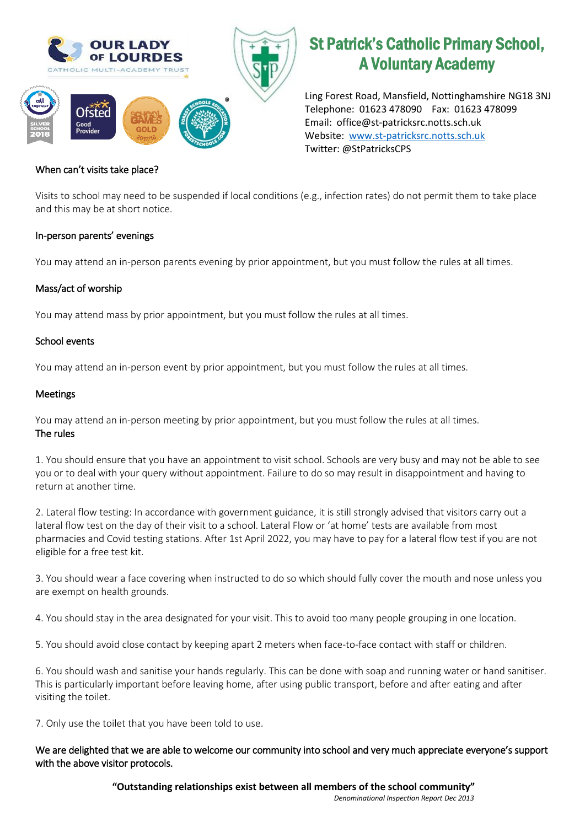

Ling Forest Road, Mansfield, Nottinghamshire NG18 3NJ Telephone: 01623 478090 Fax: 01623 478099 Email: office@st-patricksrc.notts.sch.uk Website: [www.st-patricksrc.notts.sch.uk](http://www.st-patricksrc.notts.sch.uk/) Twitter: @StPatricksCPS

#### When can't visits take place?

Visits to school may need to be suspended if local conditions (e.g., infection rates) do not permit them to take place and this may be at short notice.

#### In-person parents' evenings

You may attend an in-person parents evening by prior appointment, but you must follow the rules at all times.

#### Mass/act of worship

You may attend mass by prior appointment, but you must follow the rules at all times.

#### School events

You may attend an in-person event by prior appointment, but you must follow the rules at all times.

#### Meetings

You may attend an in-person meeting by prior appointment, but you must follow the rules at all times. The rules

1. You should ensure that you have an appointment to visit school. Schools are very busy and may not be able to see you or to deal with your query without appointment. Failure to do so may result in disappointment and having to return at another time.

2. Lateral flow testing: In accordance with government guidance, it is still strongly advised that visitors carry out a lateral flow test on the day of their visit to a school. Lateral Flow or 'at home' tests are available from most pharmacies and Covid testing stations. After 1st April 2022, you may have to pay for a lateral flow test if you are not eligible for a free test kit.

3. You should wear a face covering when instructed to do so which should fully cover the mouth and nose unless you are exempt on health grounds.

4. You should stay in the area designated for your visit. This to avoid too many people grouping in one location.

5. You should avoid close contact by keeping apart 2 meters when face-to-face contact with staff or children.

6. You should wash and sanitise your hands regularly. This can be done with soap and running water or hand sanitiser. This is particularly important before leaving home, after using public transport, before and after eating and after visiting the toilet.

7. Only use the toilet that you have been told to use.

#### We are delighted that we are able to welcome our community into school and very much appreciate everyone's support with the above visitor protocols.

**"Outstanding relationships exist between all members of the school community"** *Denominational Inspection Report Dec 2013*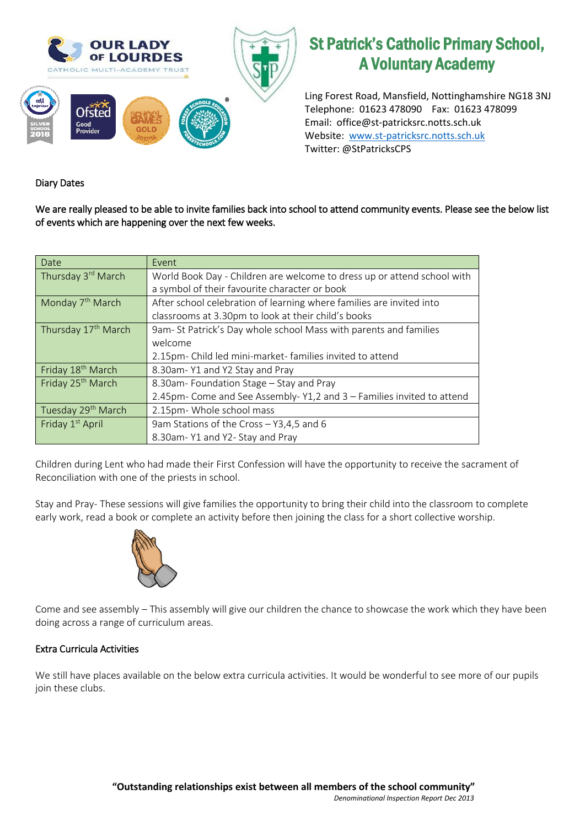

Ling Forest Road, Mansfield, Nottinghamshire NG18 3NJ Telephone: 01623 478090 Fax: 01623 478099 Email: office@st-patricksrc.notts.sch.uk Website: [www.st-patricksrc.notts.sch.uk](http://www.st-patricksrc.notts.sch.uk/) Twitter: @StPatricksCPS

## Diary Dates

We are really pleased to be able to invite families back into school to attend community events. Please see the below list of events which are happening over the next few weeks.

| Date                            | Event                                                                   |  |  |  |  |
|---------------------------------|-------------------------------------------------------------------------|--|--|--|--|
| Thursday 3rd March              | World Book Day - Children are welcome to dress up or attend school with |  |  |  |  |
|                                 | a symbol of their favourite character or book                           |  |  |  |  |
| Monday 7 <sup>th</sup> March    | After school celebration of learning where families are invited into    |  |  |  |  |
|                                 | classrooms at 3.30pm to look at their child's books                     |  |  |  |  |
| Thursday 17 <sup>th</sup> March | 9am-St Patrick's Day whole school Mass with parents and families        |  |  |  |  |
|                                 | welcome                                                                 |  |  |  |  |
|                                 | 2.15pm- Child led mini-market-families invited to attend                |  |  |  |  |
| Friday 18 <sup>th</sup> March   | 8.30am-Y1 and Y2 Stay and Pray                                          |  |  |  |  |
| Friday 25 <sup>th</sup> March   | 8.30am-Foundation Stage - Stay and Pray                                 |  |  |  |  |
|                                 | 2.45pm- Come and See Assembly-Y1,2 and 3 - Families invited to attend   |  |  |  |  |
| Tuesday 29 <sup>th</sup> March  | 2.15pm- Whole school mass                                               |  |  |  |  |
| Friday 1 <sup>st</sup> April    | 9am Stations of the Cross - Y3,4,5 and 6                                |  |  |  |  |
|                                 | 8.30am-Y1 and Y2- Stay and Pray                                         |  |  |  |  |

Children during Lent who had made their First Confession will have the opportunity to receive the sacrament of Reconciliation with one of the priests in school.

Stay and Pray- These sessions will give families the opportunity to bring their child into the classroom to complete early work, read a book or complete an activity before then joining the class for a short collective worship.



Come and see assembly – This assembly will give our children the chance to showcase the work which they have been doing across a range of curriculum areas.

## Extra Curricula Activities

We still have places available on the below extra curricula activities. It would be wonderful to see more of our pupils join these clubs.